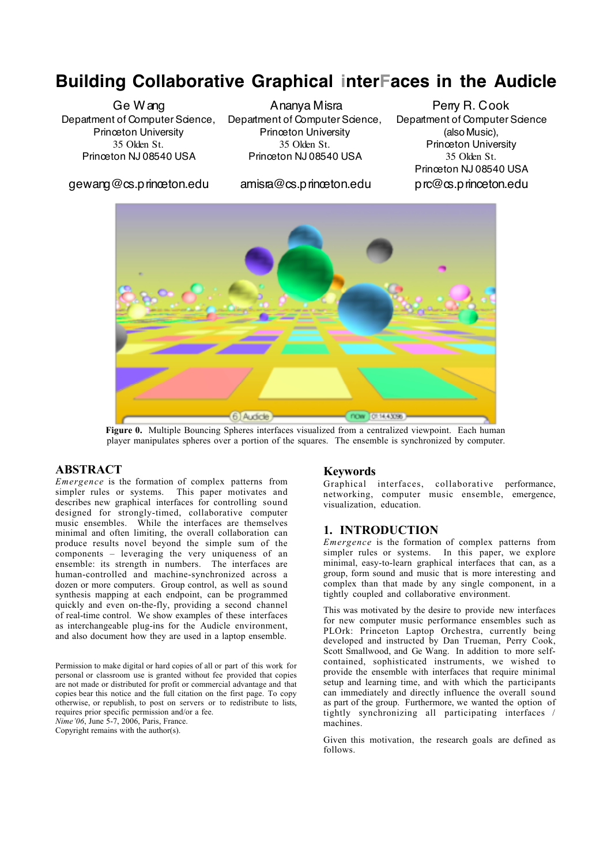# **Building Collaborative Graphical interFaces in the Audicle**

Ge Wang Department of Computer Science, Princeton University 35 Olden St. Princeton NJ 08540 USA

gewang@cs.princeton.edu

Ananya Misra Department of Computer Science, Princeton University 35 Olden St. Princeton NJ 08540 USA

amisra@cs.princeton.edu

Perry R. Cook Department of Computer Science (also Music), Princeton University 35 Olden St. Princeton NJ 08540 USA prc@cs.princeton.edu



Figure 0. Multiple Bouncing Spheres interfaces visualized from a centralized viewpoint. Each human player manipulates spheres over a portion of the squares. The ensemble is synchronized by computer.

## **ABSTRACT**

*Emergence* is the formation of complex patterns from simpler rules or systems. This paper motivates and describes new graphical interfaces for controlling sound designed for strongly-timed, collaborative computer music ensembles. While the interfaces are themselves minimal and often limiting, the overall collaboration can produce results novel beyond the simple sum of the components – leveraging the very uniqueness of an ensemble: its strength in numbers. The interfaces are human-controlled and machine-synchronized across a dozen or more computers. Group control, as well as sound synthesis mapping at each endpoint, can be programmed quickly and even on-the-fly, providing a second channel of real-time control. We show examples of these interfaces as interchangeable plug-ins for the Audicle environment, and also document how they are used in a laptop ensemble.

Permission to make digital or hard copies of all or part of this work for personal or classroom use is granted without fee provided that copies are not made or distributed for profit or commercial advantage and that copies bear this notice and the full citation on the first page. To copy otherwise, or republish, to post on servers or to redistribute to lists, requires prior specific permission and/or a fee.

*Nime'06*, June 5-7, 2006, Paris, France. Copyright remains with the author(s).

#### Keywords

Graphical interfaces, collaborative performance, networking, computer music ensemble, emergence, visualization, education.

## 1. INTRODUCTION

*Emergence* is the formation of complex patterns from simpler rules or systems. In this paper, we explore minimal, easy-to-learn graphical interfaces that can, as a group, form sound and music that is more interesting and complex than that made by any single component, in a tightly coupled and collaborative environment.

This was motivated by the desire to provide new interfaces for new computer music performance ensembles such as PLOrk: Princeton Laptop Orchestra, currently being developed and instructed by Dan Trueman, Perry Cook, Scott Smallwood, and Ge Wang. In addition to more selfcontained, sophisticated instruments, we wished to provide the ensemble with interfaces that require minimal setup and learning time, and with which the participants can immediately and directly influence the overall sound as part of the group. Furthermore, we wanted the option of tightly synchronizing all participating interfaces / machines.

Given this motivation, the research goals are defined as follows.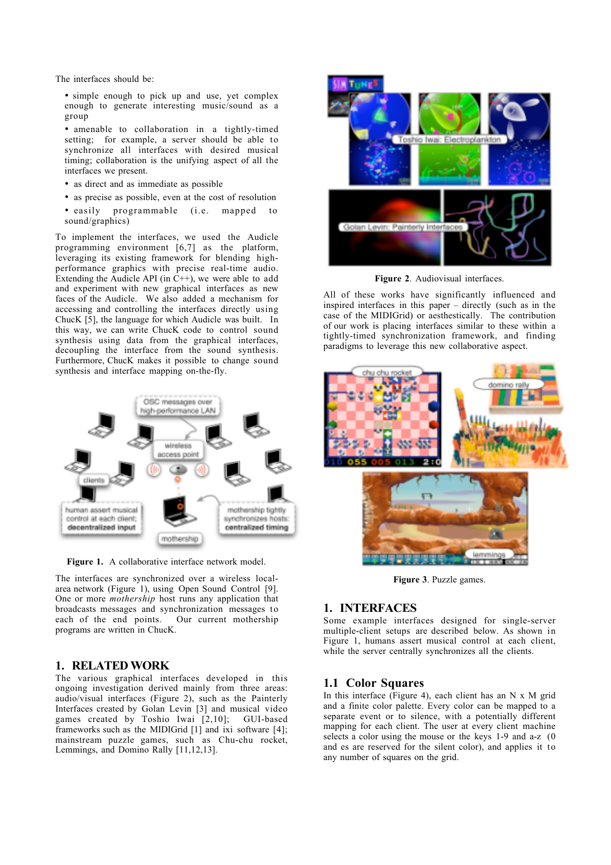The interfaces should be:

• simple enough to pick up and use, yet complex enough to generate interesting music/sound as a group

• amenable to collaboration in a tightly-timed setting; for example, a server should be able to synchronize all interfaces with desired musical timing; collaboration is the unifying aspect of all the interfaces we present.

- as direct and as immediate as possible
- as precise as possible, even at the cost of resolution
- $\bullet$  easily programmable (i.e. mapped sound/graphics)

To implement the interfaces, we used the Audicle programming environment [6,7] as the platform, leveraging its existing framework for blending highperformance graphics with precise real-time audio. Extending the Audicle API (in  $\tilde{C}$ ++), we were able to add and experiment with new graphical interfaces as new faces of the Audicle. We also added a mechanism for accessing and controlling the interfaces directly using ChucK [5], the language for which Audicle was built. In this way, we can write ChucK code to control sound synthesis using data from the graphical interfaces, decoupling the interface from the sound synthesis. Furthermore, ChucK makes it possible to change sound synthesis and interface mapping on-the-fly.



Figure 1. A collaborative interface network model.

The interfaces are synchronized over a wireless localarea network (Figure 1), using Open Sound Control [9]. One or more *mothership* host runs any application that broadcasts messages and synchronization messages to each of the end points. Our current mothership programs are written in ChucK.

#### 1. RELATED WORK

The various graphical interfaces developed in this ongoing investigation derived mainly from three areas: audio/visual interfaces (Figure 2), such as the Painterly Interfaces created by Golan Levin [3] and musical video games created by Toshio Iwai [2,10]; GUI-based frameworks such as the MIDIGrid [1] and ixi software [4]; mainstream puzzle games, such as Chu-chu rocket, Lemmings, and Domino Rally [11,12,13].



Figure 2. Audiovisual interfaces.

All of these works have significantly influenced and inspired interfaces in this paper – directly (such as in the case of the MIDIGrid) or aesthestically. The contribution of our work is placing interfaces similar to these within a tightly-timed synchronization framework, and finding paradigms to leverage this new collaborative aspect.



Figure 3. Puzzle games.

#### 1. INTERFACES

Some example interfaces designed for single-server multiple-client setups are described below. As shown in Figure 1, humans assert musical control at each client, while the server centrally synchronizes all the clients.

#### 1.1 Color Squares

In this interface (Figure 4), each client has an  $N \times M$  grid and a finite color palette. Every color can be mapped to a separate event or to silence, with a potentially different mapping for each client. The user at every client machine selects a color using the mouse or the keys 1-9 and a-z (0 and es are reserved for the silent color), and applies it to any number of squares on the grid.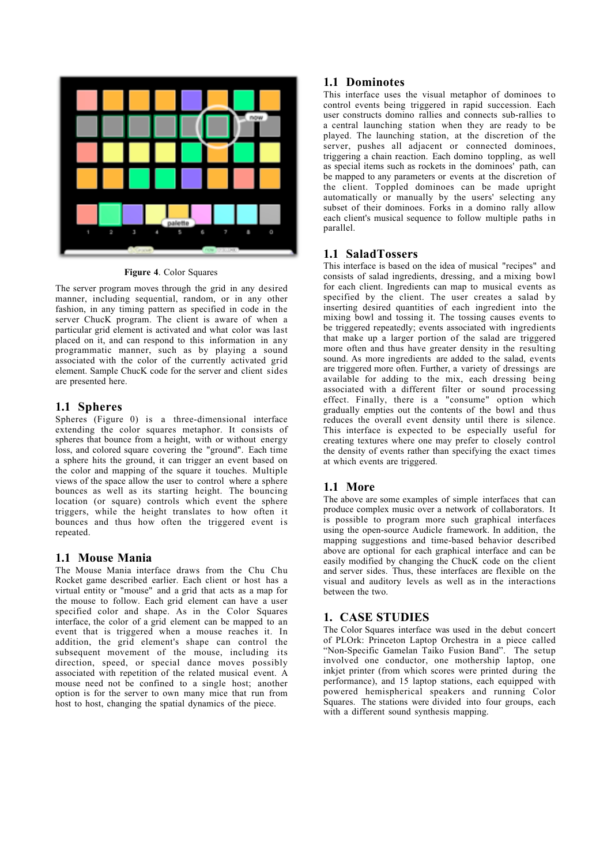

Figure 4. Color Squares

The server program moves through the grid in any desired manner, including sequential, random, or in any other fashion, in any timing pattern as specified in code in the server ChucK program. The client is aware of when a particular grid element is activated and what color was last placed on it, and can respond to this information in any programmatic manner, such as by playing a sound associated with the color of the currently activated grid element. Sample ChucK code for the server and client sides are presented here.

## 1.1 Spheres

Spheres (Figure 0) is a three-dimensional interface extending the color squares metaphor. It consists of spheres that bounce from a height, with or without energy loss, and colored square covering the "ground". Each time a sphere hits the ground, it can trigger an event based on the color and mapping of the square it touches. Multiple views of the space allow the user to control where a sphere bounces as well as its starting height. The bouncing location (or square) controls which event the sphere triggers, while the height translates to how often it bounces and thus how often the triggered event is repeated.

## 1.1 Mouse Mania

The Mouse Mania interface draws from the Chu Chu Rocket game described earlier. Each client or host has a virtual entity or "mouse" and a grid that acts as a map for the mouse to follow. Each grid element can have a user specified color and shape. As in the Color Squares interface, the color of a grid element can be mapped to an event that is triggered when a mouse reaches it. In addition, the grid element's shape can control the subsequent movement of the mouse, including its direction, speed, or special dance moves possibly associated with repetition of the related musical event. A mouse need not be confined to a single host; another option is for the server to own many mice that run from host to host, changing the spatial dynamics of the piece.

# 1.1 Dominotes

This interface uses the visual metaphor of dominoes to control events being triggered in rapid succession. Each user constructs domino rallies and connects sub-rallies to a central launching station when they are ready to be played. The launching station, at the discretion of the server, pushes all adjacent or connected dominoes, triggering a chain reaction. Each domino toppling, as well as special items such as rockets in the dominoes' path, can be mapped to any parameters or events at the discretion of the client. Toppled dominoes can be made upright automatically or manually by the users' selecting any subset of their dominoes. Forks in a domino rally allow each client's musical sequence to follow multiple paths in parallel.

## 1.1 SaladTossers

This interface is based on the idea of musical "recipes" and consists of salad ingredients, dressing, and a mixing bowl for each client. Ingredients can map to musical events as specified by the client. The user creates a salad by inserting desired quantities of each ingredient into the mixing bowl and tossing it. The tossing causes events to be triggered repeatedly; events associated with ingredients that make up a larger portion of the salad are triggered more often and thus have greater density in the resulting sound. As more ingredients are added to the salad, events are triggered more often. Further, a variety of dressings are available for adding to the mix, each dressing being associated with a different filter or sound processing effect. Finally, there is a "consume" option which gradually empties out the contents of the bowl and thus reduces the overall event density until there is silence. This interface is expected to be especially useful for creating textures where one may prefer to closely control the density of events rather than specifying the exact times at which events are triggered.

# 1.1 More

The above are some examples of simple interfaces that can produce complex music over a network of collaborators. It is possible to program more such graphical interfaces using the open-source Audicle framework. In addition, the mapping suggestions and time-based behavior described above are optional for each graphical interface and can be easily modified by changing the ChucK code on the client and server sides. Thus, these interfaces are flexible on the visual and auditory levels as well as in the interactions between the two.

## 1. CASE STUDIES

The Color Squares interface was used in the debut concert of PLOrk: Princeton Laptop Orchestra in a piece called "Non-Specific Gamelan Taiko Fusion Band". The setup involved one conductor, one mothership laptop, one inkjet printer (from which scores were printed during the performance), and 15 laptop stations, each equipped with powered hemispherical speakers and running Color Squares. The stations were divided into four groups, each with a different sound synthesis mapping.